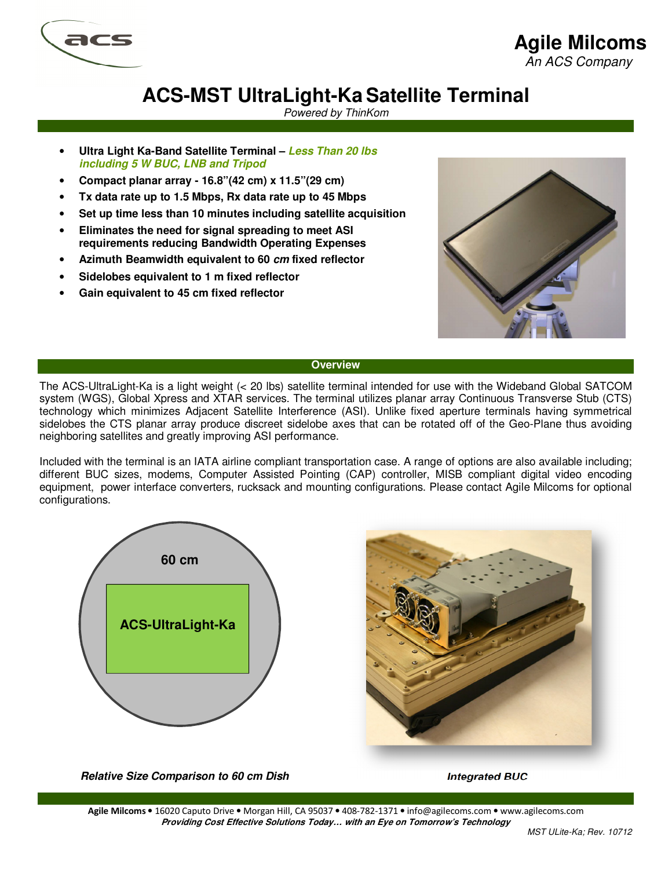

## **Agile Milcoms**

An ACS Company

# **ACS-MST UltraLight-KaSatellite Terminal**

Powered by ThinKom

- **Ultra Light Ka-Band Satellite Terminal Less Than 20 lbs including 5 W BUC, LNB and Tripod**
- **Compact planar array 16.8"(42 cm) x 11.5"(29 cm)**
- **Tx data rate up to 1.5 Mbps, Rx data rate up to 45 Mbps**
- **Set up time less than 10 minutes including satellite acquisition**
- **Eliminates the need for signal spreading to meet ASI requirements reducing Bandwidth Operating Expenses**
- **Azimuth Beamwidth equivalent to 60 cm fixed reflector**
- **Sidelobes equivalent to 1 m fixed reflector**
- **Gain equivalent to 45 cm fixed reflector**



### **Overview**

The ACS-UltraLight-Ka is a light weight (< 20 lbs) satellite terminal intended for use with the Wideband Global SATCOM system (WGS), Global Xpress and XTAR services. The terminal utilizes planar array Continuous Transverse Stub (CTS) technology which minimizes Adjacent Satellite Interference (ASI). Unlike fixed aperture terminals having symmetrical sidelobes the CTS planar array produce discreet sidelobe axes that can be rotated off of the Geo-Plane thus avoiding neighboring satellites and greatly improving ASI performance.

Included with the terminal is an IATA airline compliant transportation case. A range of options are also available including; different BUC sizes, modems, Computer Assisted Pointing (CAP) controller, MISB compliant digital video encoding equipment, power interface converters, rucksack and mounting configurations. Please contact Agile Milcoms for optional configurations.





**Relative Size Comparison to 60 cm Dish Integrated BUC**

**Agile Milcoms** • 16020 Caputo Drive • Morgan Hill, CA 95037 • 408-782-1371 • info@agilecoms.com • www.agilecoms.com **Providing Cost Effective Solutions Today… with an Eye on Tomorrow's Technology**